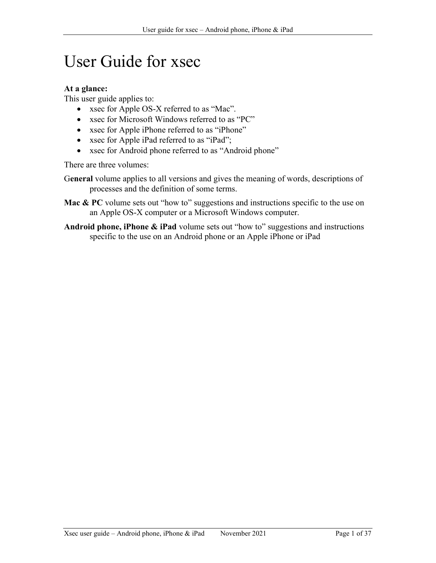# User Guide for xsec

### At a glance:

This user guide applies to:

- xsec for Apple OS-X referred to as "Mac".
- xsec for Microsoft Windows referred to as "PC"
- xsec for Apple iPhone referred to as "iPhone"
- xsec for Apple iPad referred to as "iPad";
- xsec for Android phone referred to as "Android phone"

There are three volumes:

General volume applies to all versions and gives the meaning of words, descriptions of processes and the definition of some terms.

- **Mac & PC** volume sets out "how to" suggestions and instructions specific to the use on an Apple OS-X computer or a Microsoft Windows computer.
- Android phone, iPhone & iPad volume sets out "how to" suggestions and instructions specific to the use on an Android phone or an Apple iPhone or iPad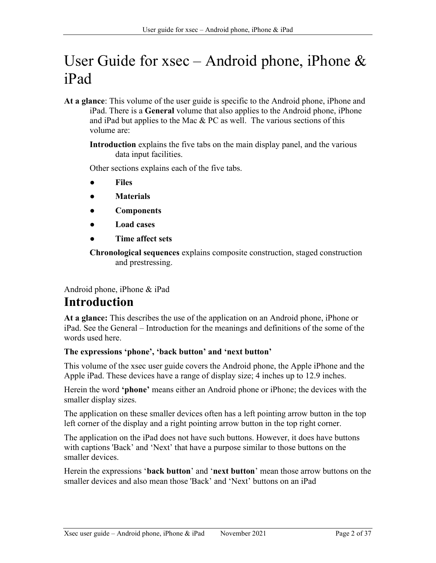# User Guide for xsec – Android phone, iPhone  $\&$ iPad

At a glance: This volume of the user guide is specific to the Android phone, iPhone and iPad. There is a General volume that also applies to the Android phone, iPhone and iPad but applies to the Mac  $& PC$  as well. The various sections of this volume are:

Introduction explains the five tabs on the main display panel, and the various data input facilities.

Other sections explains each of the five tabs.

- **Files**
- **Materials**
- **Components**
- Load cases
- Time affect sets

Chronological sequences explains composite construction, staged construction and prestressing.

Android phone, iPhone & iPad

# Introduction

At a glance: This describes the use of the application on an Android phone, iPhone or iPad. See the General – Introduction for the meanings and definitions of the some of the words used here.

### The expressions 'phone', 'back button' and 'next button'

This volume of the xsec user guide covers the Android phone, the Apple iPhone and the Apple iPad. These devices have a range of display size; 4 inches up to 12.9 inches.

Herein the word 'phone' means either an Android phone or iPhone; the devices with the smaller display sizes.

The application on these smaller devices often has a left pointing arrow button in the top left corner of the display and a right pointing arrow button in the top right corner.

The application on the iPad does not have such buttons. However, it does have buttons with captions 'Back' and 'Next' that have a purpose similar to those buttons on the smaller devices.

Herein the expressions **'back button'** and **'next button'** mean those arrow buttons on the smaller devices and also mean those 'Back' and 'Next' buttons on an iPad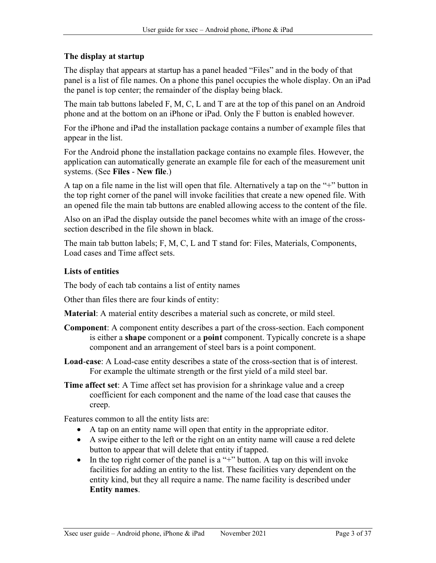### The display at startup

The display that appears at startup has a panel headed "Files" and in the body of that panel is a list of file names. On a phone this panel occupies the whole display. On an iPad the panel is top center; the remainder of the display being black.

The main tab buttons labeled F, M, C, L and T are at the top of this panel on an Android phone and at the bottom on an iPhone or iPad. Only the F button is enabled however.

For the iPhone and iPad the installation package contains a number of example files that appear in the list.

For the Android phone the installation package contains no example files. However, the application can automatically generate an example file for each of the measurement unit systems. (See Files - New file.)

A tap on a file name in the list will open that file. Alternatively a tap on the "+" button in the top right corner of the panel will invoke facilities that create a new opened file. With an opened file the main tab buttons are enabled allowing access to the content of the file.

Also on an iPad the display outside the panel becomes white with an image of the crosssection described in the file shown in black.

The main tab button labels; F, M, C, L and T stand for: Files, Materials, Components, Load cases and Time affect sets.

### Lists of entities

The body of each tab contains a list of entity names

Other than files there are four kinds of entity:

Material: A material entity describes a material such as concrete, or mild steel.

- Component: A component entity describes a part of the cross-section. Each component is either a shape component or a point component. Typically concrete is a shape component and an arrangement of steel bars is a point component.
- Load-case: A Load-case entity describes a state of the cross-section that is of interest. For example the ultimate strength or the first yield of a mild steel bar.
- Time affect set: A Time affect set has provision for a shrinkage value and a creep coefficient for each component and the name of the load case that causes the creep.

Features common to all the entity lists are:

- A tap on an entity name will open that entity in the appropriate editor.
- A swipe either to the left or the right on an entity name will cause a red delete button to appear that will delete that entity if tapped.
- In the top right corner of the panel is a "+" button. A tap on this will invoke facilities for adding an entity to the list. These facilities vary dependent on the entity kind, but they all require a name. The name facility is described under Entity names.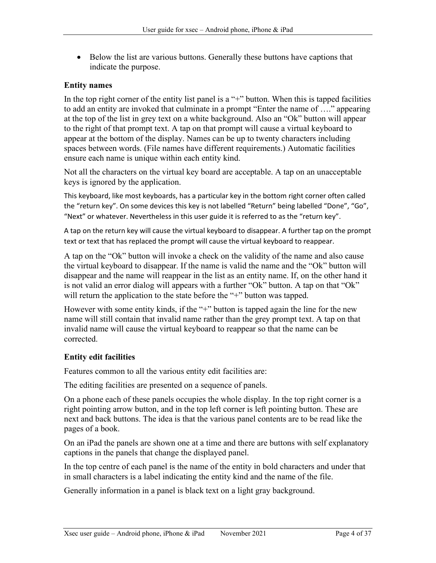• Below the list are various buttons. Generally these buttons have captions that indicate the purpose.

#### Entity names

In the top right corner of the entity list panel is a "+" button. When this is tapped facilities to add an entity are invoked that culminate in a prompt "Enter the name of …." appearing at the top of the list in grey text on a white background. Also an "Ok" button will appear to the right of that prompt text. A tap on that prompt will cause a virtual keyboard to appear at the bottom of the display. Names can be up to twenty characters including spaces between words. (File names have different requirements.) Automatic facilities ensure each name is unique within each entity kind.

Not all the characters on the virtual key board are acceptable. A tap on an unacceptable keys is ignored by the application.

This keyboard, like most keyboards, has a particular key in the bottom right corner often called the "return key". On some devices this key is not labelled "Return" being labelled "Done", "Go", "Next" or whatever. Nevertheless in this user guide it is referred to as the "return key".

A tap on the return key will cause the virtual keyboard to disappear. A further tap on the prompt text or text that has replaced the prompt will cause the virtual keyboard to reappear.

A tap on the "Ok" button will invoke a check on the validity of the name and also cause the virtual keyboard to disappear. If the name is valid the name and the "Ok" button will disappear and the name will reappear in the list as an entity name. If, on the other hand it is not valid an error dialog will appears with a further "Ok" button. A tap on that "Ok" will return the application to the state before the "+" button was tapped.

However with some entity kinds, if the "+" button is tapped again the line for the new name will still contain that invalid name rather than the grey prompt text. A tap on that invalid name will cause the virtual keyboard to reappear so that the name can be corrected.

### Entity edit facilities

Features common to all the various entity edit facilities are:

The editing facilities are presented on a sequence of panels.

On a phone each of these panels occupies the whole display. In the top right corner is a right pointing arrow button, and in the top left corner is left pointing button. These are next and back buttons. The idea is that the various panel contents are to be read like the pages of a book.

On an iPad the panels are shown one at a time and there are buttons with self explanatory captions in the panels that change the displayed panel.

In the top centre of each panel is the name of the entity in bold characters and under that in small characters is a label indicating the entity kind and the name of the file.

Generally information in a panel is black text on a light gray background.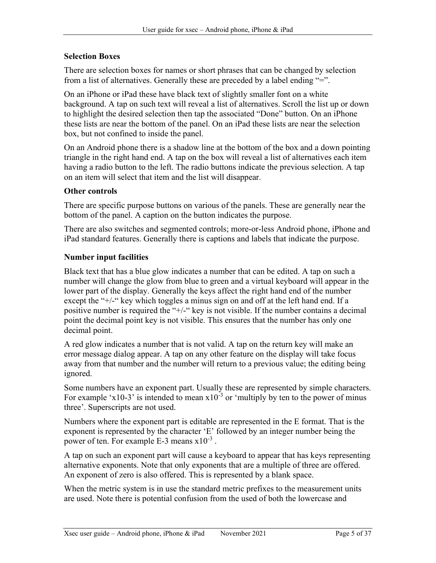### Selection Boxes

There are selection boxes for names or short phrases that can be changed by selection from a list of alternatives. Generally these are preceded by a label ending "=".

On an iPhone or iPad these have black text of slightly smaller font on a white background. A tap on such text will reveal a list of alternatives. Scroll the list up or down to highlight the desired selection then tap the associated "Done" button. On an iPhone these lists are near the bottom of the panel. On an iPad these lists are near the selection box, but not confined to inside the panel.

On an Android phone there is a shadow line at the bottom of the box and a down pointing triangle in the right hand end. A tap on the box will reveal a list of alternatives each item having a radio button to the left. The radio buttons indicate the previous selection. A tap on an item will select that item and the list will disappear.

### Other controls

There are specific purpose buttons on various of the panels. These are generally near the bottom of the panel. A caption on the button indicates the purpose.

There are also switches and segmented controls; more-or-less Android phone, iPhone and iPad standard features. Generally there is captions and labels that indicate the purpose.

### Number input facilities

Black text that has a blue glow indicates a number that can be edited. A tap on such a number will change the glow from blue to green and a virtual keyboard will appear in the lower part of the display. Generally the keys affect the right hand end of the number except the "+/-" key which toggles a minus sign on and off at the left hand end. If a positive number is required the "+/-" key is not visible. If the number contains a decimal point the decimal point key is not visible. This ensures that the number has only one decimal point.

A red glow indicates a number that is not valid. A tap on the return key will make an error message dialog appear. A tap on any other feature on the display will take focus away from that number and the number will return to a previous value; the editing being ignored.

Some numbers have an exponent part. Usually these are represented by simple characters. For example 'x10-3' is intended to mean  $x10^{-3}$  or 'multiply by ten to the power of minus three'. Superscripts are not used.

Numbers where the exponent part is editable are represented in the E format. That is the exponent is represented by the character 'E' followed by an integer number being the power of ten. For example E-3 means  $x10^{-3}$ .

A tap on such an exponent part will cause a keyboard to appear that has keys representing alternative exponents. Note that only exponents that are a multiple of three are offered. An exponent of zero is also offered. This is represented by a blank space.

When the metric system is in use the standard metric prefixes to the measurement units are used. Note there is potential confusion from the used of both the lowercase and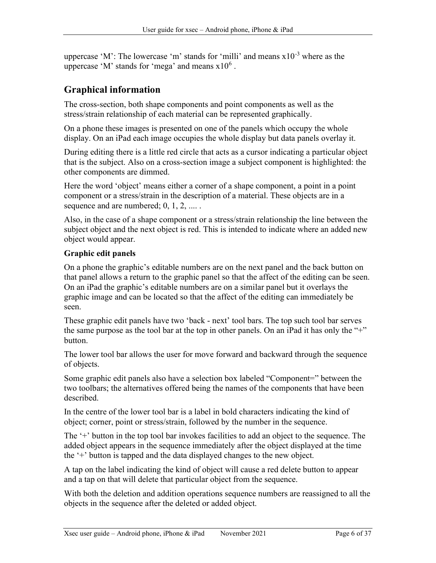uppercase 'M': The lowercase 'm' stands for 'milli' and means  $x10^{-3}$  where as the uppercase 'M' stands for 'mega' and means  $x10^6$ .

# Graphical information

The cross-section, both shape components and point components as well as the stress/strain relationship of each material can be represented graphically.

On a phone these images is presented on one of the panels which occupy the whole display. On an iPad each image occupies the whole display but data panels overlay it.

During editing there is a little red circle that acts as a cursor indicating a particular object that is the subject. Also on a cross-section image a subject component is highlighted: the other components are dimmed.

Here the word 'object' means either a corner of a shape component, a point in a point component or a stress/strain in the description of a material. These objects are in a sequence and are numbered; 0, 1, 2, ....

Also, in the case of a shape component or a stress/strain relationship the line between the subject object and the next object is red. This is intended to indicate where an added new object would appear.

### Graphic edit panels

On a phone the graphic's editable numbers are on the next panel and the back button on that panel allows a return to the graphic panel so that the affect of the editing can be seen. On an iPad the graphic's editable numbers are on a similar panel but it overlays the graphic image and can be located so that the affect of the editing can immediately be seen.

These graphic edit panels have two 'back - next' tool bars. The top such tool bar serves the same purpose as the tool bar at the top in other panels. On an iPad it has only the "+" button.

The lower tool bar allows the user for move forward and backward through the sequence of objects.

Some graphic edit panels also have a selection box labeled "Component=" between the two toolbars; the alternatives offered being the names of the components that have been described.

In the centre of the lower tool bar is a label in bold characters indicating the kind of object; corner, point or stress/strain, followed by the number in the sequence.

The '+' button in the top tool bar invokes facilities to add an object to the sequence. The added object appears in the sequence immediately after the object displayed at the time the '+' button is tapped and the data displayed changes to the new object.

A tap on the label indicating the kind of object will cause a red delete button to appear and a tap on that will delete that particular object from the sequence.

With both the deletion and addition operations sequence numbers are reassigned to all the objects in the sequence after the deleted or added object.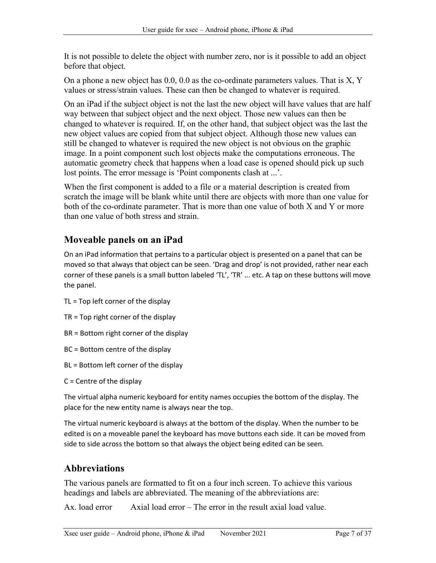It is not possible to delete the object with number zero, nor is it possible to add an object before that object.

On a phone a new object has  $0.0, 0.0$  as the co-ordinate parameters values. That is  $X, Y$ values or stress/strain values. These can then be changed to whatever is required.

On an iPad if the subject object is not the last the new object will have values that are half way between that subject object and the next object. Those new values can then be changed to whatever is required. If, on the other hand, that subject object was the last the new object values are copied from that subject object. Although those new values can still be changed to whatever is required the new object is not obvious on the graphic image. In a point component such lost objects make the computations erroneous. The automatic geometry check that happens when a load case is opened should pick up such lost points. The error message is 'Point components clash at ...'.

When the first component is added to a file or a material description is created from scratch the image will be blank white until there are objects with more than one value for both of the co-ordinate parameter. That is more than one value of both X and Y or more than one value of both stress and strain.

# Moveable panels on an iPad

On an iPad information that pertains to a particular object is presented on a panel that can be moved so that always that object can be seen. 'Drag and drop' is not provided, rather near each corner of these panels is a small button labeled 'TL', 'TR' ... etc. A tap on these buttons will move the panel.

- TL = Top left corner of the display
- TR = Top right corner of the display
- BR = Bottom right corner of the display
- BC = Bottom centre of the display
- BL = Bottom left corner of the display
- C = Centre of the display

The virtual alpha numeric keyboard for entity names occupies the bottom of the display. The place for the new entity name is always near the top.

The virtual numeric keyboard is always at the bottom of the display. When the number to be edited is on a moveable panel the keyboard has move buttons each side. It can be moved from side to side across the bottom so that always the object being edited can be seen.

# **Abbreviations**

The various panels are formatted to fit on a four inch screen. To achieve this various headings and labels are abbreviated. The meaning of the abbreviations are:

Ax. load error Axial load error – The error in the result axial load value.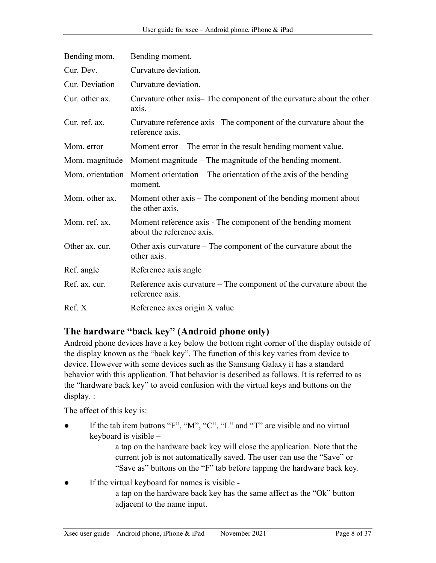| Bending mom.   | Bending moment.                                                                             |
|----------------|---------------------------------------------------------------------------------------------|
| Cur. Dev.      | Curvature deviation.                                                                        |
| Cur. Deviation | Curvature deviation.                                                                        |
| Cur. other ax. | Curvature other axis—The component of the curvature about the other<br>axis.                |
| Cur. ref. ax.  | Curvature reference axis—The component of the curvature about the<br>reference axis.        |
| Mom. error     | Moment $error - The error in the result bending moment value.$                              |
| Mom. magnitude | Moment magnitude $-$ The magnitude of the bending moment.                                   |
|                | Mom. orientation Moment orientation – The orientation of the axis of the bending<br>moment. |
| Mom. other ax. | Moment other axis – The component of the bending moment about<br>the other axis.            |
| Mom. ref. ax.  | Moment reference axis - The component of the bending moment<br>about the reference axis.    |
| Other ax. cur. | Other axis curvature $-$ The component of the curvature about the<br>other axis.            |
| Ref. angle     | Reference axis angle                                                                        |
| Ref. ax. cur.  | Reference axis curvature $-$ The component of the curvature about the<br>reference axis.    |
| Ref. X         | Reference axes origin X value                                                               |

# The hardware "back key" (Android phone only)

Android phone devices have a key below the bottom right corner of the display outside of the display known as the "back key". The function of this key varies from device to device. However with some devices such as the Samsung Galaxy it has a standard behavior with this application. That behavior is described as follows. It is referred to as the "hardware back key" to avoid confusion with the virtual keys and buttons on the display. :

The affect of this key is:

If the tab item buttons "F", "M", "C", "L" and "T" are visible and no virtual keyboard is visible –

> a tap on the hardware back key will close the application. Note that the current job is not automatically saved. The user can use the "Save" or "Save as" buttons on the "F" tab before tapping the hardware back key.

If the virtual keyboard for names is visible a tap on the hardware back key has the same affect as the "Ok" button adjacent to the name input.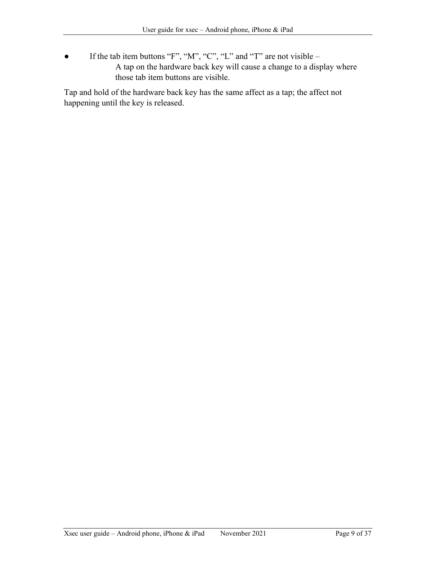• If the tab item buttons "F", "M", "C", "L" and "T" are not visible – A tap on the hardware back key will cause a change to a display where those tab item buttons are visible.

Tap and hold of the hardware back key has the same affect as a tap; the affect not happening until the key is released.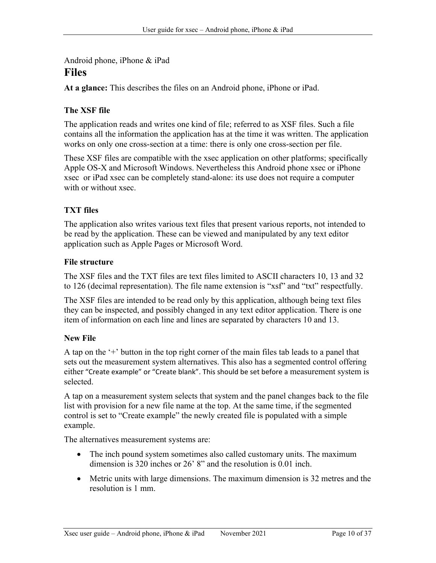## Android phone, iPhone & iPad Files

At a glance: This describes the files on an Android phone, iPhone or iPad.

### The XSF file

The application reads and writes one kind of file; referred to as XSF files. Such a file contains all the information the application has at the time it was written. The application works on only one cross-section at a time: there is only one cross-section per file.

These XSF files are compatible with the xsec application on other platforms; specifically Apple OS-X and Microsoft Windows. Nevertheless this Android phone xsec or iPhone xsec or iPad xsec can be completely stand-alone: its use does not require a computer with or without xsec.

### TXT files

The application also writes various text files that present various reports, not intended to be read by the application. These can be viewed and manipulated by any text editor application such as Apple Pages or Microsoft Word.

#### File structure

The XSF files and the TXT files are text files limited to ASCII characters 10, 13 and 32 to 126 (decimal representation). The file name extension is "xsf" and "txt" respectfully.

The XSF files are intended to be read only by this application, although being text files they can be inspected, and possibly changed in any text editor application. There is one item of information on each line and lines are separated by characters 10 and 13.

### New File

A tap on the '+' button in the top right corner of the main files tab leads to a panel that sets out the measurement system alternatives. This also has a segmented control offering either "Create example" or "Create blank". This should be set before a measurement system is selected.

A tap on a measurement system selects that system and the panel changes back to the file list with provision for a new file name at the top. At the same time, if the segmented control is set to "Create example" the newly created file is populated with a simple example.

The alternatives measurement systems are:

- The inch pound system sometimes also called customary units. The maximum dimension is 320 inches or 26' 8" and the resolution is 0.01 inch.
- Metric units with large dimensions. The maximum dimension is 32 metres and the resolution is 1 mm.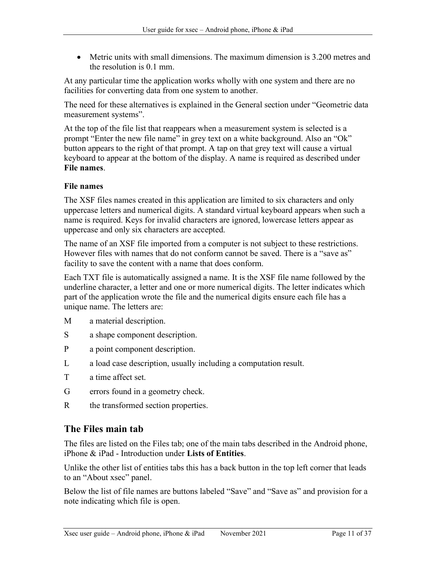Metric units with small dimensions. The maximum dimension is 3.200 metres and the resolution is 0.1 mm.

At any particular time the application works wholly with one system and there are no facilities for converting data from one system to another.

The need for these alternatives is explained in the General section under "Geometric data measurement systems".

At the top of the file list that reappears when a measurement system is selected is a prompt "Enter the new file name" in grey text on a white background. Also an "Ok" button appears to the right of that prompt. A tap on that grey text will cause a virtual keyboard to appear at the bottom of the display. A name is required as described under File names.

### File names

The XSF files names created in this application are limited to six characters and only uppercase letters and numerical digits. A standard virtual keyboard appears when such a name is required. Keys for invalid characters are ignored, lowercase letters appear as uppercase and only six characters are accepted.

The name of an XSF file imported from a computer is not subject to these restrictions. However files with names that do not conform cannot be saved. There is a "save as" facility to save the content with a name that does conform.

Each TXT file is automatically assigned a name. It is the XSF file name followed by the underline character, a letter and one or more numerical digits. The letter indicates which part of the application wrote the file and the numerical digits ensure each file has a unique name. The letters are:

- M a material description.
- S a shape component description.
- P a point component description.
- L a load case description, usually including a computation result.
- T a time affect set.
- G errors found in a geometry check.
- R the transformed section properties.

# The Files main tab

The files are listed on the Files tab; one of the main tabs described in the Android phone, iPhone & iPad - Introduction under Lists of Entities.

Unlike the other list of entities tabs this has a back button in the top left corner that leads to an "About xsec" panel.

Below the list of file names are buttons labeled "Save" and "Save as" and provision for a note indicating which file is open.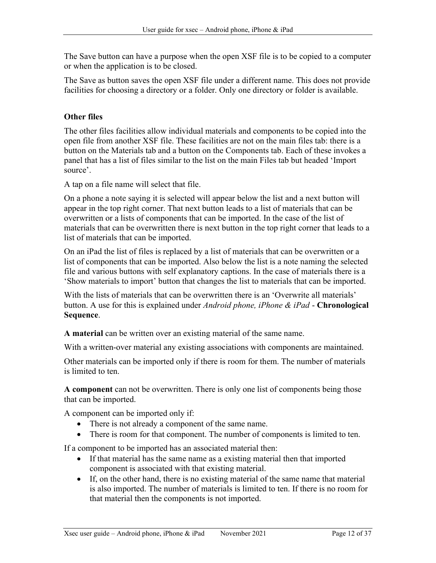The Save button can have a purpose when the open XSF file is to be copied to a computer or when the application is to be closed.

The Save as button saves the open XSF file under a different name. This does not provide facilities for choosing a directory or a folder. Only one directory or folder is available.

### Other files

The other files facilities allow individual materials and components to be copied into the open file from another XSF file. These facilities are not on the main files tab: there is a button on the Materials tab and a button on the Components tab. Each of these invokes a panel that has a list of files similar to the list on the main Files tab but headed 'Import source'.

A tap on a file name will select that file.

On a phone a note saying it is selected will appear below the list and a next button will appear in the top right corner. That next button leads to a list of materials that can be overwritten or a lists of components that can be imported. In the case of the list of materials that can be overwritten there is next button in the top right corner that leads to a list of materials that can be imported.

On an iPad the list of files is replaced by a list of materials that can be overwritten or a list of components that can be imported. Also below the list is a note naming the selected file and various buttons with self explanatory captions. In the case of materials there is a 'Show materials to import' button that changes the list to materials that can be imported.

With the lists of materials that can be overwritten there is an 'Overwrite all materials' button. A use for this is explained under *Android phone, iPhone & iPad* - Chronological Sequence.

A material can be written over an existing material of the same name.

With a written-over material any existing associations with components are maintained.

Other materials can be imported only if there is room for them. The number of materials is limited to ten.

A component can not be overwritten. There is only one list of components being those that can be imported.

A component can be imported only if:

- There is not already a component of the same name.
- There is room for that component. The number of components is limited to ten.

If a component to be imported has an associated material then:

- If that material has the same name as a existing material then that imported component is associated with that existing material.
- If, on the other hand, there is no existing material of the same name that material is also imported. The number of materials is limited to ten. If there is no room for that material then the components is not imported.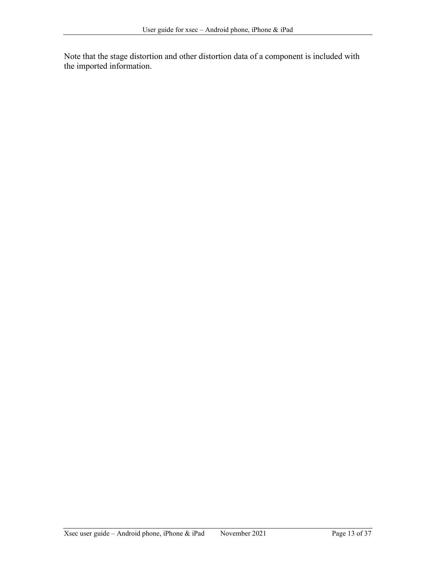Note that the stage distortion and other distortion data of a component is included with the imported information.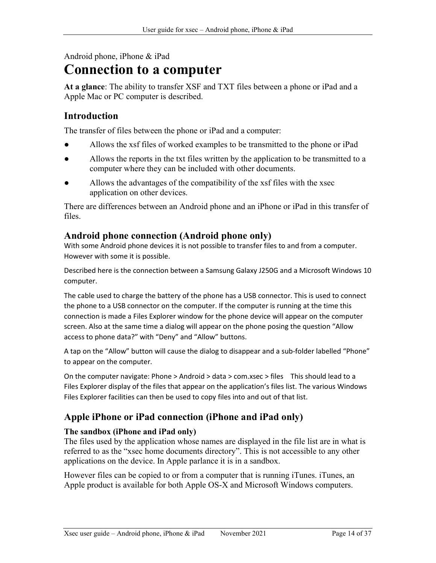Android phone, iPhone & iPad

# Connection to a computer

At a glance: The ability to transfer XSF and TXT files between a phone or iPad and a Apple Mac or PC computer is described.

# Introduction

The transfer of files between the phone or iPad and a computer:

- Allows the xsf files of worked examples to be transmitted to the phone or iPad
- Allows the reports in the txt files written by the application to be transmitted to a computer where they can be included with other documents.
- Allows the advantages of the compatibility of the xsf files with the xsec application on other devices.

There are differences between an Android phone and an iPhone or iPad in this transfer of files.

## Android phone connection (Android phone only)

With some Android phone devices it is not possible to transfer files to and from a computer. However with some it is possible.

Described here is the connection between a Samsung Galaxy J250G and a Microsoft Windows 10 computer.

The cable used to charge the battery of the phone has a USB connector. This is used to connect the phone to a USB connector on the computer. If the computer is running at the time this connection is made a Files Explorer window for the phone device will appear on the computer screen. Also at the same time a dialog will appear on the phone posing the question "Allow access to phone data?" with "Deny" and "Allow" buttons.

A tap on the "Allow" button will cause the dialog to disappear and a sub-folder labelled "Phone" to appear on the computer.

On the computer navigate: Phone > Android > data > com.xsec > files This should lead to a Files Explorer display of the files that appear on the application's files list. The various Windows Files Explorer facilities can then be used to copy files into and out of that list.

# Apple iPhone or iPad connection (iPhone and iPad only)

### The sandbox (iPhone and iPad only)

The files used by the application whose names are displayed in the file list are in what is referred to as the "xsec home documents directory". This is not accessible to any other applications on the device. In Apple parlance it is in a sandbox.

However files can be copied to or from a computer that is running iTunes. iTunes, an Apple product is available for both Apple OS-X and Microsoft Windows computers.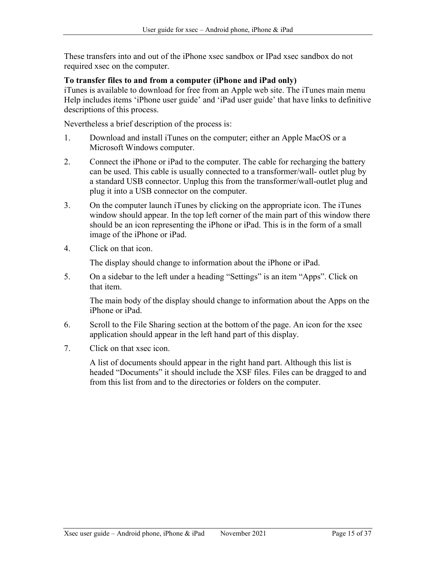These transfers into and out of the iPhone xsec sandbox or IPad xsec sandbox do not required xsec on the computer.

#### To transfer files to and from a computer (iPhone and iPad only)

iTunes is available to download for free from an Apple web site. The iTunes main menu Help includes items 'iPhone user guide' and 'iPad user guide' that have links to definitive descriptions of this process.

Nevertheless a brief description of the process is:

- 1. Download and install iTunes on the computer; either an Apple MacOS or a Microsoft Windows computer.
- 2. Connect the iPhone or iPad to the computer. The cable for recharging the battery can be used. This cable is usually connected to a transformer/wall- outlet plug by a standard USB connector. Unplug this from the transformer/wall-outlet plug and plug it into a USB connector on the computer.
- 3. On the computer launch iTunes by clicking on the appropriate icon. The iTunes window should appear. In the top left corner of the main part of this window there should be an icon representing the iPhone or iPad. This is in the form of a small image of the iPhone or iPad.
- 4. Click on that icon.

The display should change to information about the iPhone or iPad.

5. On a sidebar to the left under a heading "Settings" is an item "Apps". Click on that item.

The main body of the display should change to information about the Apps on the iPhone or iPad.

- 6. Scroll to the File Sharing section at the bottom of the page. An icon for the xsec application should appear in the left hand part of this display.
- 7. Click on that xsec icon.

A list of documents should appear in the right hand part. Although this list is headed "Documents" it should include the XSF files. Files can be dragged to and from this list from and to the directories or folders on the computer.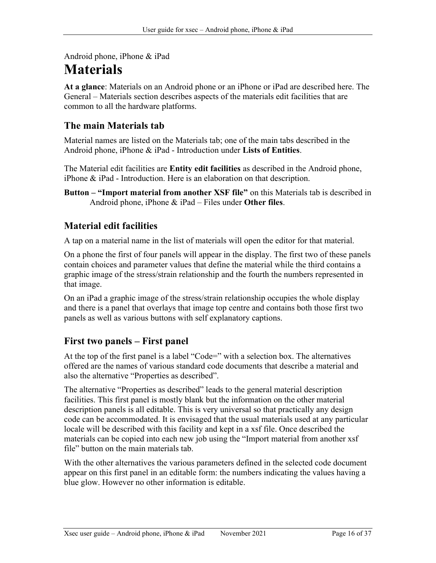Android phone, iPhone & iPad

# Materials

At a glance: Materials on an Android phone or an iPhone or iPad are described here. The General – Materials section describes aspects of the materials edit facilities that are common to all the hardware platforms.

# The main Materials tab

Material names are listed on the Materials tab; one of the main tabs described in the Android phone, iPhone & iPad - Introduction under Lists of Entities.

The Material edit facilities are **Entity edit facilities** as described in the Android phone, iPhone & iPad - Introduction. Here is an elaboration on that description.

Button – "Import material from another XSF file" on this Materials tab is described in Android phone, iPhone  $\&$  iPad – Files under Other files.

# Material edit facilities

A tap on a material name in the list of materials will open the editor for that material.

On a phone the first of four panels will appear in the display. The first two of these panels contain choices and parameter values that define the material while the third contains a graphic image of the stress/strain relationship and the fourth the numbers represented in that image.

On an iPad a graphic image of the stress/strain relationship occupies the whole display and there is a panel that overlays that image top centre and contains both those first two panels as well as various buttons with self explanatory captions.

# First two panels – First panel

At the top of the first panel is a label "Code=" with a selection box. The alternatives offered are the names of various standard code documents that describe a material and also the alternative "Properties as described".

The alternative "Properties as described" leads to the general material description facilities. This first panel is mostly blank but the information on the other material description panels is all editable. This is very universal so that practically any design code can be accommodated. It is envisaged that the usual materials used at any particular locale will be described with this facility and kept in a xsf file. Once described the materials can be copied into each new job using the "Import material from another xsf file" button on the main materials tab.

With the other alternatives the various parameters defined in the selected code document appear on this first panel in an editable form: the numbers indicating the values having a blue glow. However no other information is editable.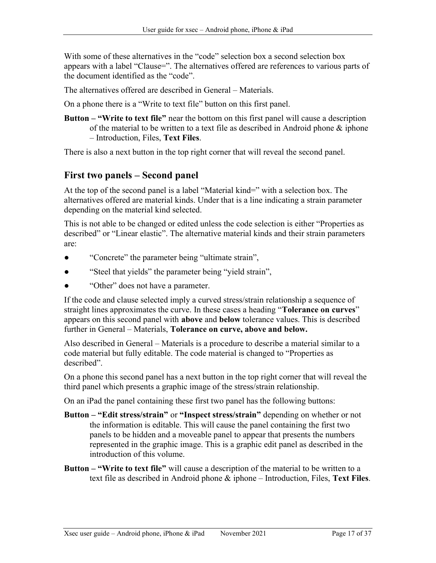With some of these alternatives in the "code" selection box a second selection box appears with a label "Clause=". The alternatives offered are references to various parts of the document identified as the "code".

The alternatives offered are described in General – Materials.

On a phone there is a "Write to text file" button on this first panel.

Button – "Write to text file" near the bottom on this first panel will cause a description of the material to be written to a text file as described in Android phone & iphone – Introduction, Files, Text Files.

There is also a next button in the top right corner that will reveal the second panel.

## First two panels – Second panel

At the top of the second panel is a label "Material kind=" with a selection box. The alternatives offered are material kinds. Under that is a line indicating a strain parameter depending on the material kind selected.

This is not able to be changed or edited unless the code selection is either "Properties as described" or "Linear elastic". The alternative material kinds and their strain parameters are:

- "Concrete" the parameter being "ultimate strain",
- "Steel that yields" the parameter being "yield strain",
- "Other" does not have a parameter.

If the code and clause selected imply a curved stress/strain relationship a sequence of straight lines approximates the curve. In these cases a heading "Tolerance on curves" appears on this second panel with above and below tolerance values. This is described further in General – Materials, Tolerance on curve, above and below.

Also described in General – Materials is a procedure to describe a material similar to a code material but fully editable. The code material is changed to "Properties as described".

On a phone this second panel has a next button in the top right corner that will reveal the third panel which presents a graphic image of the stress/strain relationship.

On an iPad the panel containing these first two panel has the following buttons:

- Button "Edit stress/strain" or "Inspect stress/strain" depending on whether or not the information is editable. This will cause the panel containing the first two panels to be hidden and a moveable panel to appear that presents the numbers represented in the graphic image. This is a graphic edit panel as described in the introduction of this volume.
- Button "Write to text file" will cause a description of the material to be written to a text file as described in Android phone & iphone – Introduction, Files, Text Files.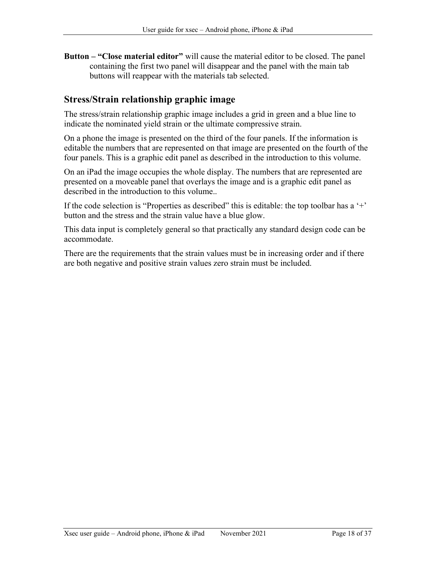Button – "Close material editor" will cause the material editor to be closed. The panel containing the first two panel will disappear and the panel with the main tab buttons will reappear with the materials tab selected.

## Stress/Strain relationship graphic image

The stress/strain relationship graphic image includes a grid in green and a blue line to indicate the nominated yield strain or the ultimate compressive strain.

On a phone the image is presented on the third of the four panels. If the information is editable the numbers that are represented on that image are presented on the fourth of the four panels. This is a graphic edit panel as described in the introduction to this volume.

On an iPad the image occupies the whole display. The numbers that are represented are presented on a moveable panel that overlays the image and is a graphic edit panel as described in the introduction to this volume..

If the code selection is "Properties as described" this is editable: the top toolbar has a  $'$ + button and the stress and the strain value have a blue glow.

This data input is completely general so that practically any standard design code can be accommodate.

There are the requirements that the strain values must be in increasing order and if there are both negative and positive strain values zero strain must be included.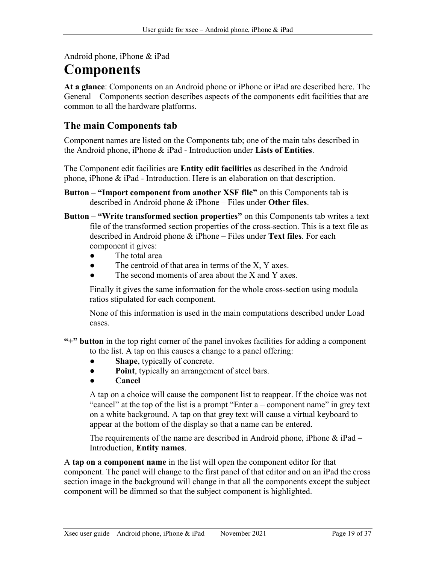Android phone, iPhone & iPad

# Components

At a glance: Components on an Android phone or iPhone or iPad are described here. The General – Components section describes aspects of the components edit facilities that are common to all the hardware platforms.

## The main Components tab

Component names are listed on the Components tab; one of the main tabs described in the Android phone, iPhone & iPad - Introduction under Lists of Entities.

The Component edit facilities are Entity edit facilities as described in the Android phone, iPhone & iPad - Introduction. Here is an elaboration on that description.

- Button "Import component from another XSF file" on this Components tab is described in Android phone  $\&$  iPhone – Files under Other files.
- Button "Write transformed section properties" on this Components tab writes a text file of the transformed section properties of the cross-section. This is a text file as described in Android phone & iPhone – Files under Text files. For each component it gives:
	- The total area
	- The centroid of that area in terms of the  $X$ ,  $Y$  axes.
	- The second moments of area about the  $X$  and  $Y$  axes.

Finally it gives the same information for the whole cross-section using modula ratios stipulated for each component.

None of this information is used in the main computations described under Load cases.

"+" button in the top right corner of the panel invokes facilities for adding a component to the list. A tap on this causes a change to a panel offering:

- Shape, typically of concrete.
- Point, typically an arrangement of steel bars.
- Cancel

A tap on a choice will cause the component list to reappear. If the choice was not "cancel" at the top of the list is a prompt "Enter a – component name" in grey text on a white background. A tap on that grey text will cause a virtual keyboard to appear at the bottom of the display so that a name can be entered.

The requirements of the name are described in Android phone, iPhone  $\&$  iPad – Introduction, Entity names.

A tap on a component name in the list will open the component editor for that component. The panel will change to the first panel of that editor and on an iPad the cross section image in the background will change in that all the components except the subject component will be dimmed so that the subject component is highlighted.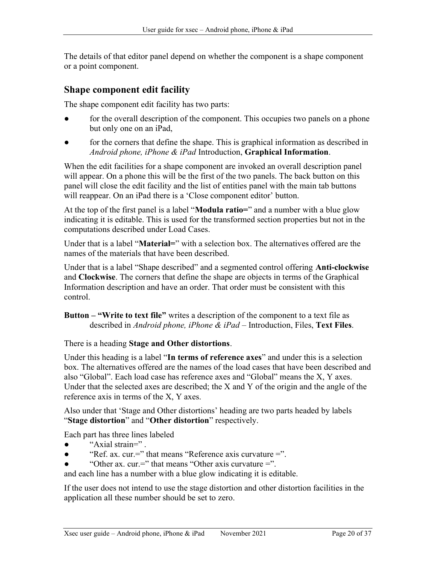The details of that editor panel depend on whether the component is a shape component or a point component.

## Shape component edit facility

The shape component edit facility has two parts:

- for the overall description of the component. This occupies two panels on a phone but only one on an iPad,
- for the corners that define the shape. This is graphical information as described in Android phone, iPhone & iPad Introduction, Graphical Information.

When the edit facilities for a shape component are invoked an overall description panel will appear. On a phone this will be the first of the two panels. The back button on this panel will close the edit facility and the list of entities panel with the main tab buttons will reappear. On an iPad there is a 'Close component editor' button.

At the top of the first panel is a label "**Modula ratio**=" and a number with a blue glow indicating it is editable. This is used for the transformed section properties but not in the computations described under Load Cases.

Under that is a label "**Material**=" with a selection box. The alternatives offered are the names of the materials that have been described.

Under that is a label "Shape described" and a segmented control offering **Anti-clockwise** and Clockwise. The corners that define the shape are objects in terms of the Graphical Information description and have an order. That order must be consistent with this control.

Button – "Write to text file" writes a description of the component to a text file as described in Android phone, iPhone & iPad – Introduction, Files, Text Files.

There is a heading Stage and Other distortions.

Under this heading is a label "In terms of reference axes" and under this is a selection box. The alternatives offered are the names of the load cases that have been described and also "Global". Each load case has reference axes and "Global" means the X, Y axes. Under that the selected axes are described; the X and Y of the origin and the angle of the reference axis in terms of the X, Y axes.

Also under that 'Stage and Other distortions' heading are two parts headed by labels "Stage distortion" and "Other distortion" respectively.

Each part has three lines labeled

- "Axial strain=".
- "Ref. ax. cur.=" that means "Reference axis curvature  $=$ ".
- "Other ax. cur.=" that means "Other axis curvature =".

and each line has a number with a blue glow indicating it is editable.

If the user does not intend to use the stage distortion and other distortion facilities in the application all these number should be set to zero.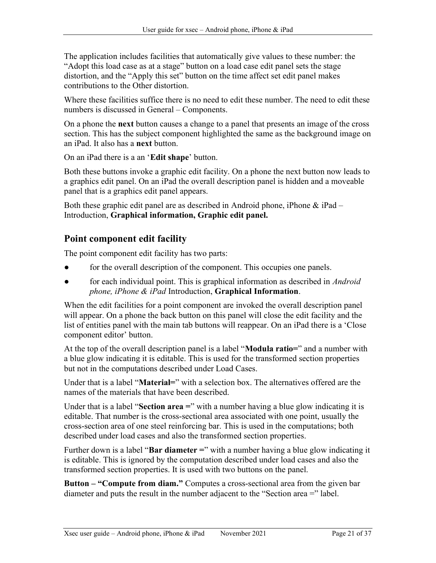The application includes facilities that automatically give values to these number: the "Adopt this load case as at a stage" button on a load case edit panel sets the stage distortion, and the "Apply this set" button on the time affect set edit panel makes contributions to the Other distortion.

Where these facilities suffice there is no need to edit these number. The need to edit these numbers is discussed in General – Components.

On a phone the next button causes a change to a panel that presents an image of the cross section. This has the subject component highlighted the same as the background image on an iPad. It also has a next button.

On an iPad there is a an 'Edit shape' button.

Both these buttons invoke a graphic edit facility. On a phone the next button now leads to a graphics edit panel. On an iPad the overall description panel is hidden and a moveable panel that is a graphics edit panel appears.

Both these graphic edit panel are as described in Android phone, iPhone  $\&$  iPad – Introduction, Graphical information, Graphic edit panel.

# Point component edit facility

The point component edit facility has two parts:

- for the overall description of the component. This occupies one panels.
- for each individual point. This is graphical information as described in *Android* phone, iPhone  $\&$  iPad Introduction, Graphical Information.

When the edit facilities for a point component are invoked the overall description panel will appear. On a phone the back button on this panel will close the edit facility and the list of entities panel with the main tab buttons will reappear. On an iPad there is a 'Close component editor' button.

At the top of the overall description panel is a label "**Modula ratio**=" and a number with a blue glow indicating it is editable. This is used for the transformed section properties but not in the computations described under Load Cases.

Under that is a label "Material=" with a selection box. The alternatives offered are the names of the materials that have been described.

Under that is a label "Section area  $=$ " with a number having a blue glow indicating it is editable. That number is the cross-sectional area associated with one point, usually the cross-section area of one steel reinforcing bar. This is used in the computations; both described under load cases and also the transformed section properties.

Further down is a label "Bar diameter  $=$ " with a number having a blue glow indicating it is editable. This is ignored by the computation described under load cases and also the transformed section properties. It is used with two buttons on the panel.

Button – "Compute from diam." Computes a cross-sectional area from the given bar diameter and puts the result in the number adjacent to the "Section area =" label.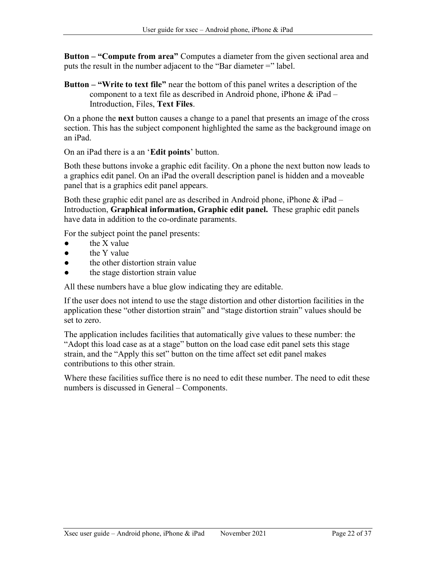Button – "Compute from area" Computes a diameter from the given sectional area and puts the result in the number adjacent to the "Bar diameter  $=$ " label.

Button – "Write to text file" near the bottom of this panel writes a description of the component to a text file as described in Android phone, iPhone  $\&$  iPad – Introduction, Files, Text Files.

On a phone the next button causes a change to a panel that presents an image of the cross section. This has the subject component highlighted the same as the background image on an iPad.

On an iPad there is a an 'Edit points' button.

Both these buttons invoke a graphic edit facility. On a phone the next button now leads to a graphics edit panel. On an iPad the overall description panel is hidden and a moveable panel that is a graphics edit panel appears.

Both these graphic edit panel are as described in Android phone, iPhone  $\&$  iPad – Introduction, Graphical information, Graphic edit panel. These graphic edit panels have data in addition to the co-ordinate paraments.

For the subject point the panel presents:

- the  $X$  value
- the Y value
- the other distortion strain value
- the stage distortion strain value

All these numbers have a blue glow indicating they are editable.

If the user does not intend to use the stage distortion and other distortion facilities in the application these "other distortion strain" and "stage distortion strain" values should be set to zero.

The application includes facilities that automatically give values to these number: the "Adopt this load case as at a stage" button on the load case edit panel sets this stage strain, and the "Apply this set" button on the time affect set edit panel makes contributions to this other strain.

Where these facilities suffice there is no need to edit these number. The need to edit these numbers is discussed in General – Components.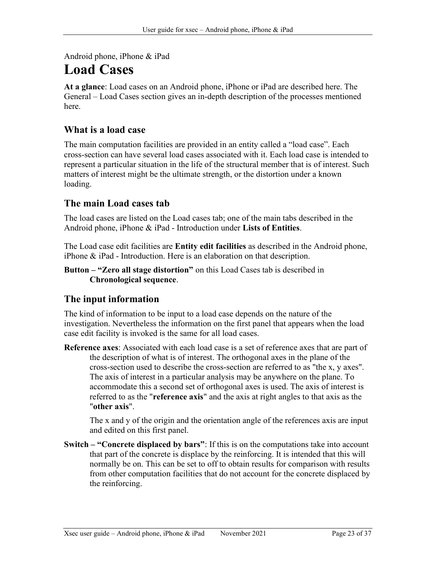Android phone, iPhone & iPad

# Load Cases

At a glance: Load cases on an Android phone, iPhone or iPad are described here. The General – Load Cases section gives an in-depth description of the processes mentioned here.

# What is a load case

The main computation facilities are provided in an entity called a "load case". Each cross-section can have several load cases associated with it. Each load case is intended to represent a particular situation in the life of the structural member that is of interest. Such matters of interest might be the ultimate strength, or the distortion under a known loading.

## The main Load cases tab

The load cases are listed on the Load cases tab; one of the main tabs described in the Android phone, iPhone & iPad - Introduction under Lists of Entities.

The Load case edit facilities are Entity edit facilities as described in the Android phone, iPhone & iPad - Introduction. Here is an elaboration on that description.

Button – "Zero all stage distortion" on this Load Cases tab is described in Chronological sequence.

# The input information

The kind of information to be input to a load case depends on the nature of the investigation. Nevertheless the information on the first panel that appears when the load case edit facility is invoked is the same for all load cases.

Reference axes: Associated with each load case is a set of reference axes that are part of the description of what is of interest. The orthogonal axes in the plane of the cross-section used to describe the cross-section are referred to as "the x, y axes". The axis of interest in a particular analysis may be anywhere on the plane. To accommodate this a second set of orthogonal axes is used. The axis of interest is referred to as the "reference axis" and the axis at right angles to that axis as the "other axis".

The x and y of the origin and the orientation angle of the references axis are input and edited on this first panel.

Switch – "Concrete displaced by bars": If this is on the computations take into account that part of the concrete is displace by the reinforcing. It is intended that this will normally be on. This can be set to off to obtain results for comparison with results from other computation facilities that do not account for the concrete displaced by the reinforcing.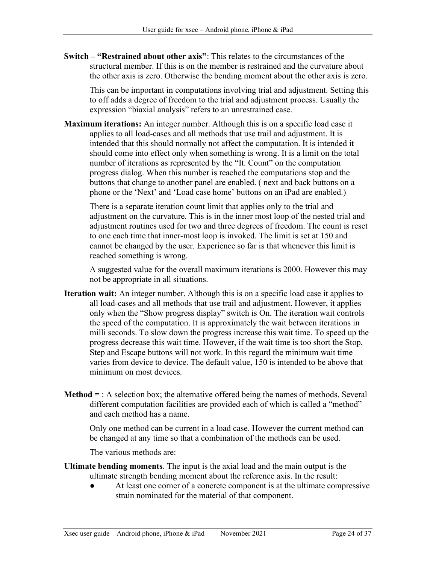Switch – "Restrained about other axis": This relates to the circumstances of the structural member. If this is on the member is restrained and the curvature about the other axis is zero. Otherwise the bending moment about the other axis is zero.

This can be important in computations involving trial and adjustment. Setting this to off adds a degree of freedom to the trial and adjustment process. Usually the expression "biaxial analysis" refers to an unrestrained case.

Maximum iterations: An integer number. Although this is on a specific load case it applies to all load-cases and all methods that use trail and adjustment. It is intended that this should normally not affect the computation. It is intended it should come into effect only when something is wrong. It is a limit on the total number of iterations as represented by the "It. Count" on the computation progress dialog. When this number is reached the computations stop and the buttons that change to another panel are enabled. ( next and back buttons on a phone or the 'Next' and 'Load case home' buttons on an iPad are enabled.)

There is a separate iteration count limit that applies only to the trial and adjustment on the curvature. This is in the inner most loop of the nested trial and adjustment routines used for two and three degrees of freedom. The count is reset to one each time that inner-most loop is invoked. The limit is set at 150 and cannot be changed by the user. Experience so far is that whenever this limit is reached something is wrong.

A suggested value for the overall maximum iterations is 2000. However this may not be appropriate in all situations.

- Iteration wait: An integer number. Although this is on a specific load case it applies to all load-cases and all methods that use trail and adjustment. However, it applies only when the "Show progress display" switch is On. The iteration wait controls the speed of the computation. It is approximately the wait between iterations in milli seconds. To slow down the progress increase this wait time. To speed up the progress decrease this wait time. However, if the wait time is too short the Stop, Step and Escape buttons will not work. In this regard the minimum wait time varies from device to device. The default value, 150 is intended to be above that minimum on most devices.
- **Method**  $=$  : A selection box; the alternative offered being the names of methods. Several different computation facilities are provided each of which is called a "method" and each method has a name.

Only one method can be current in a load case. However the current method can be changed at any time so that a combination of the methods can be used.

The various methods are:

- Ultimate bending moments. The input is the axial load and the main output is the ultimate strength bending moment about the reference axis. In the result:
	- At least one corner of a concrete component is at the ultimate compressive strain nominated for the material of that component.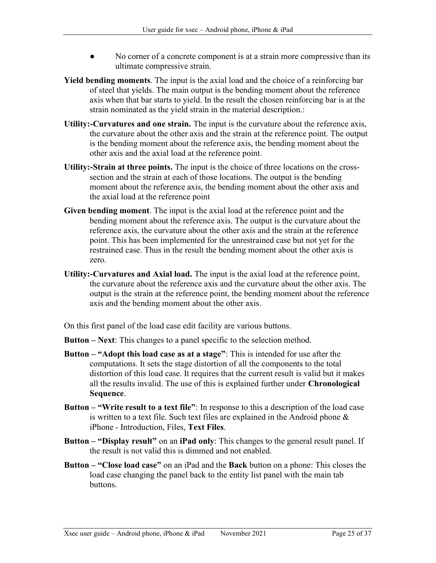- No corner of a concrete component is at a strain more compressive than its ultimate compressive strain.
- Yield bending moments. The input is the axial load and the choice of a reinforcing bar of steel that yields. The main output is the bending moment about the reference axis when that bar starts to yield. In the result the chosen reinforcing bar is at the strain nominated as the yield strain in the material description.:
- Utility:-Curvatures and one strain. The input is the curvature about the reference axis, the curvature about the other axis and the strain at the reference point. The output is the bending moment about the reference axis, the bending moment about the other axis and the axial load at the reference point.
- Utility:-Strain at three points. The input is the choice of three locations on the crosssection and the strain at each of those locations. The output is the bending moment about the reference axis, the bending moment about the other axis and the axial load at the reference point
- Given bending moment. The input is the axial load at the reference point and the bending moment about the reference axis. The output is the curvature about the reference axis, the curvature about the other axis and the strain at the reference point. This has been implemented for the unrestrained case but not yet for the restrained case. Thus in the result the bending moment about the other axis is zero.
- Utility:-Curvatures and Axial load. The input is the axial load at the reference point, the curvature about the reference axis and the curvature about the other axis. The output is the strain at the reference point, the bending moment about the reference axis and the bending moment about the other axis.

On this first panel of the load case edit facility are various buttons.

Button – Next: This changes to a panel specific to the selection method.

- Button "Adopt this load case as at a stage": This is intended for use after the computations. It sets the stage distortion of all the components to the total distortion of this load case. It requires that the current result is valid but it makes all the results invalid. The use of this is explained further under Chronological Sequence.
- Button "Write result to a text file": In response to this a description of the load case is written to a text file. Such text files are explained in the Android phone & iPhone - Introduction, Files, Text Files.
- Button "Display result" on an iPad only: This changes to the general result panel. If the result is not valid this is dimmed and not enabled.
- Button "Close load case" on an iPad and the Back button on a phone: This closes the load case changing the panel back to the entity list panel with the main tab buttons.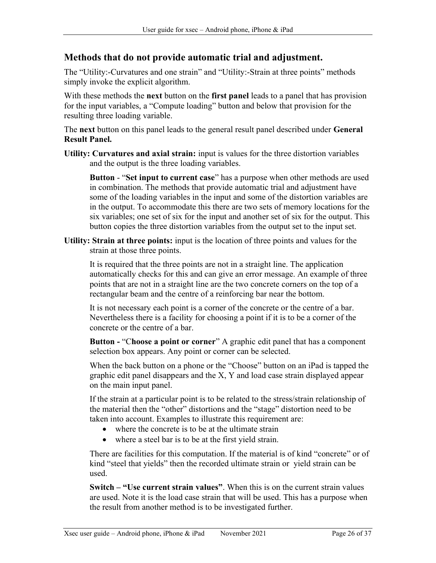## Methods that do not provide automatic trial and adjustment.

The "Utility:-Curvatures and one strain" and "Utility:-Strain at three points" methods simply invoke the explicit algorithm.

With these methods the **next** button on the **first panel** leads to a panel that has provision for the input variables, a "Compute loading" button and below that provision for the resulting three loading variable.

The next button on this panel leads to the general result panel described under **General** Result Panel.

Utility: Curvatures and axial strain: input is values for the three distortion variables and the output is the three loading variables.

Button - "Set input to current case" has a purpose when other methods are used in combination. The methods that provide automatic trial and adjustment have some of the loading variables in the input and some of the distortion variables are in the output. To accommodate this there are two sets of memory locations for the six variables; one set of six for the input and another set of six for the output. This button copies the three distortion variables from the output set to the input set.

Utility: Strain at three points: input is the location of three points and values for the strain at those three points.

It is required that the three points are not in a straight line. The application automatically checks for this and can give an error message. An example of three points that are not in a straight line are the two concrete corners on the top of a rectangular beam and the centre of a reinforcing bar near the bottom.

It is not necessary each point is a corner of the concrete or the centre of a bar. Nevertheless there is a facility for choosing a point if it is to be a corner of the concrete or the centre of a bar.

Button - "Choose a point or corner" A graphic edit panel that has a component selection box appears. Any point or corner can be selected.

When the back button on a phone or the "Choose" button on an iPad is tapped the graphic edit panel disappears and the X, Y and load case strain displayed appear on the main input panel.

If the strain at a particular point is to be related to the stress/strain relationship of the material then the "other" distortions and the "stage" distortion need to be taken into account. Examples to illustrate this requirement are:

- where the concrete is to be at the ultimate strain
- where a steel bar is to be at the first yield strain.

There are facilities for this computation. If the material is of kind "concrete" or of kind "steel that yields" then the recorded ultimate strain or yield strain can be used.

Switch – "Use current strain values". When this is on the current strain values are used. Note it is the load case strain that will be used. This has a purpose when the result from another method is to be investigated further.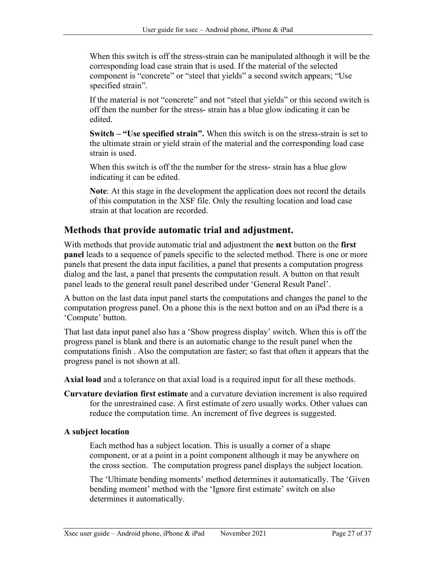When this switch is off the stress-strain can be manipulated although it will be the corresponding load case strain that is used. If the material of the selected component is "concrete" or "steel that yields" a second switch appears; "Use specified strain".

If the material is not "concrete" and not "steel that yields" or this second switch is off then the number for the stress- strain has a blue glow indicating it can be edited.

Switch – "Use specified strain". When this switch is on the stress-strain is set to the ultimate strain or yield strain of the material and the corresponding load case strain is used.

When this switch is off the the number for the stress- strain has a blue glow indicating it can be edited.

Note: At this stage in the development the application does not record the details of this computation in the XSF file. Only the resulting location and load case strain at that location are recorded.

### Methods that provide automatic trial and adjustment.

With methods that provide automatic trial and adjustment the next button on the first panel leads to a sequence of panels specific to the selected method. There is one or more panels that present the data input facilities, a panel that presents a computation progress dialog and the last, a panel that presents the computation result. A button on that result panel leads to the general result panel described under 'General Result Panel'.

A button on the last data input panel starts the computations and changes the panel to the computation progress panel. On a phone this is the next button and on an iPad there is a 'Compute' button.

That last data input panel also has a 'Show progress display' switch. When this is off the progress panel is blank and there is an automatic change to the result panel when the computations finish . Also the computation are faster; so fast that often it appears that the progress panel is not shown at all.

Axial load and a tolerance on that axial load is a required input for all these methods.

Curvature deviation first estimate and a curvature deviation increment is also required for the unrestrained case. A first estimate of zero usually works. Other values can reduce the computation time. An increment of five degrees is suggested.

### A subject location

Each method has a subject location. This is usually a corner of a shape component, or at a point in a point component although it may be anywhere on the cross section. The computation progress panel displays the subject location.

The 'Ultimate bending moments' method determines it automatically. The 'Given bending moment' method with the 'Ignore first estimate' switch on also determines it automatically.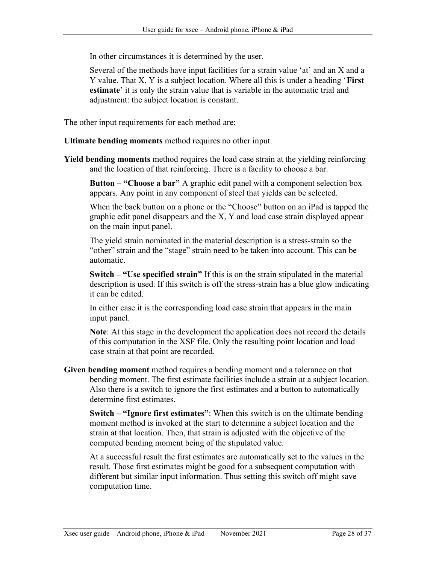In other circumstances it is determined by the user.

Several of the methods have input facilities for a strain value 'at' and an X and a Y value. That X, Y is a subject location. Where all this is under a heading 'First estimate' it is only the strain value that is variable in the automatic trial and adjustment: the subject location is constant.

The other input requirements for each method are:

Ultimate bending moments method requires no other input.

Yield bending moments method requires the load case strain at the yielding reinforcing and the location of that reinforcing. There is a facility to choose a bar.

Button – "Choose a bar" A graphic edit panel with a component selection box appears. Any point in any component of steel that yields can be selected.

When the back button on a phone or the "Choose" button on an iPad is tapped the graphic edit panel disappears and the X, Y and load case strain displayed appear on the main input panel.

The yield strain nominated in the material description is a stress-strain so the "other" strain and the "stage" strain need to be taken into account. This can be automatic.

Switch – "Use specified strain" If this is on the strain stipulated in the material description is used. If this switch is off the stress-strain has a blue glow indicating it can be edited.

In either case it is the corresponding load case strain that appears in the main input panel.

Note: At this stage in the development the application does not record the details of this computation in the XSF file. Only the resulting point location and load case strain at that point are recorded.

Given bending moment method requires a bending moment and a tolerance on that bending moment. The first estimate facilities include a strain at a subject location. Also there is a switch to ignore the first estimates and a button to automatically determine first estimates.

Switch – "Ignore first estimates": When this switch is on the ultimate bending moment method is invoked at the start to determine a subject location and the strain at that location. Then, that strain is adjusted with the objective of the computed bending moment being of the stipulated value.

At a successful result the first estimates are automatically set to the values in the result. Those first estimates might be good for a subsequent computation with different but similar input information. Thus setting this switch off might save computation time.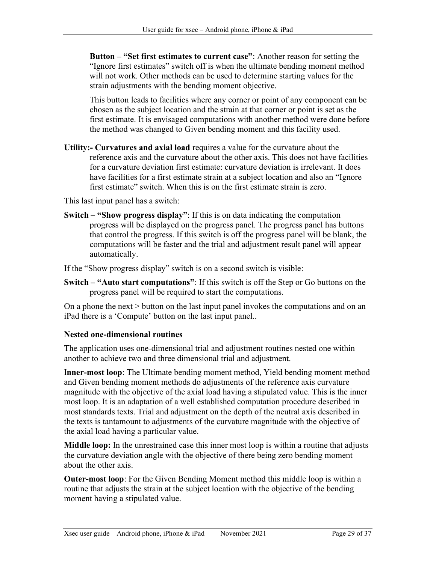Button – "Set first estimates to current case": Another reason for setting the "Ignore first estimates" switch off is when the ultimate bending moment method will not work. Other methods can be used to determine starting values for the strain adjustments with the bending moment objective.

This button leads to facilities where any corner or point of any component can be chosen as the subject location and the strain at that corner or point is set as the first estimate. It is envisaged computations with another method were done before the method was changed to Given bending moment and this facility used.

Utility:- Curvatures and axial load requires a value for the curvature about the reference axis and the curvature about the other axis. This does not have facilities for a curvature deviation first estimate: curvature deviation is irrelevant. It does have facilities for a first estimate strain at a subject location and also an "Ignore first estimate" switch. When this is on the first estimate strain is zero.

This last input panel has a switch:

Switch – "Show progress display": If this is on data indicating the computation progress will be displayed on the progress panel. The progress panel has buttons that control the progress. If this switch is off the progress panel will be blank, the computations will be faster and the trial and adjustment result panel will appear automatically.

If the "Show progress display" switch is on a second switch is visible:

Switch – "Auto start computations": If this switch is off the Step or Go buttons on the progress panel will be required to start the computations.

On a phone the next > button on the last input panel invokes the computations and on an iPad there is a 'Compute' button on the last input panel..

### Nested one-dimensional routines

The application uses one-dimensional trial and adjustment routines nested one within another to achieve two and three dimensional trial and adjustment.

Inner-most loop: The Ultimate bending moment method, Yield bending moment method and Given bending moment methods do adjustments of the reference axis curvature magnitude with the objective of the axial load having a stipulated value. This is the inner most loop. It is an adaptation of a well established computation procedure described in most standards texts. Trial and adjustment on the depth of the neutral axis described in the texts is tantamount to adjustments of the curvature magnitude with the objective of the axial load having a particular value.

Middle loop: In the unrestrained case this inner most loop is within a routine that adjusts the curvature deviation angle with the objective of there being zero bending moment about the other axis.

Outer-most loop: For the Given Bending Moment method this middle loop is within a routine that adjusts the strain at the subject location with the objective of the bending moment having a stipulated value.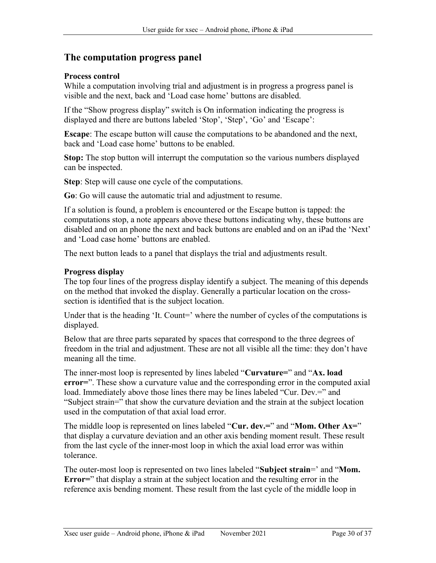## The computation progress panel

### Process control

While a computation involving trial and adjustment is in progress a progress panel is visible and the next, back and 'Load case home' buttons are disabled.

If the "Show progress display" switch is On information indicating the progress is displayed and there are buttons labeled 'Stop', 'Step', 'Go' and 'Escape':

Escape: The escape button will cause the computations to be abandoned and the next, back and 'Load case home' buttons to be enabled.

Stop: The stop button will interrupt the computation so the various numbers displayed can be inspected.

Step: Step will cause one cycle of the computations.

Go: Go will cause the automatic trial and adjustment to resume.

If a solution is found, a problem is encountered or the Escape button is tapped: the computations stop, a note appears above these buttons indicating why, these buttons are disabled and on an phone the next and back buttons are enabled and on an iPad the 'Next' and 'Load case home' buttons are enabled.

The next button leads to a panel that displays the trial and adjustments result.

### Progress display

The top four lines of the progress display identify a subject. The meaning of this depends on the method that invoked the display. Generally a particular location on the crosssection is identified that is the subject location.

Under that is the heading 'It. Count=' where the number of cycles of the computations is displayed.

Below that are three parts separated by spaces that correspond to the three degrees of freedom in the trial and adjustment. These are not all visible all the time: they don't have meaning all the time.

The inner-most loop is represented by lines labeled "Curvature=" and "Ax. load error=". These show a curvature value and the corresponding error in the computed axial load. Immediately above those lines there may be lines labeled "Cur. Dev.=" and "Subject strain=" that show the curvature deviation and the strain at the subject location used in the computation of that axial load error.

The middle loop is represented on lines labeled "Cur. dev.=" and "Mom. Other  $Ax="$ " that display a curvature deviation and an other axis bending moment result. These result from the last cycle of the inner-most loop in which the axial load error was within tolerance.

The outer-most loop is represented on two lines labeled "Subject strain=' and "Mom. Error=" that display a strain at the subject location and the resulting error in the reference axis bending moment. These result from the last cycle of the middle loop in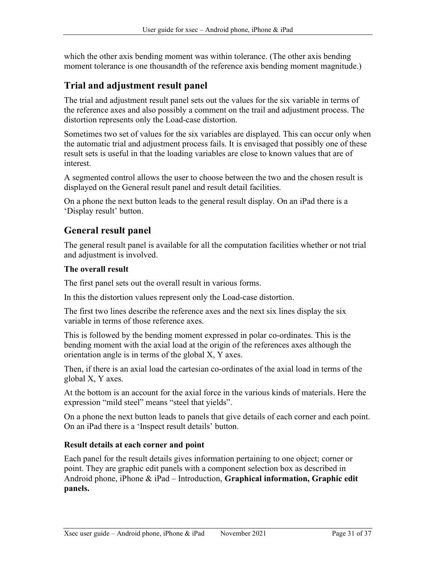which the other axis bending moment was within tolerance. (The other axis bending moment tolerance is one thousandth of the reference axis bending moment magnitude.)

# Trial and adjustment result panel

The trial and adjustment result panel sets out the values for the six variable in terms of the reference axes and also possibly a comment on the trail and adjustment process. The distortion represents only the Load-case distortion.

Sometimes two set of values for the six variables are displayed. This can occur only when the automatic trial and adjustment process fails. It is envisaged that possibly one of these result sets is useful in that the loading variables are close to known values that are of interest.

A segmented control allows the user to choose between the two and the chosen result is displayed on the General result panel and result detail facilities.

On a phone the next button leads to the general result display. On an iPad there is a 'Display result' button.

## General result panel

The general result panel is available for all the computation facilities whether or not trial and adjustment is involved.

#### The overall result

The first panel sets out the overall result in various forms.

In this the distortion values represent only the Load-case distortion.

The first two lines describe the reference axes and the next six lines display the six variable in terms of those reference axes.

This is followed by the bending moment expressed in polar co-ordinates. This is the bending moment with the axial load at the origin of the references axes although the orientation angle is in terms of the global X, Y axes.

Then, if there is an axial load the cartesian co-ordinates of the axial load in terms of the global X, Y axes.

At the bottom is an account for the axial force in the various kinds of materials. Here the expression "mild steel" means "steel that yields".

On a phone the next button leads to panels that give details of each corner and each point. On an iPad there is a 'Inspect result details' button.

### Result details at each corner and point

Each panel for the result details gives information pertaining to one object; corner or point. They are graphic edit panels with a component selection box as described in Android phone, iPhone & iPad – Introduction, Graphical information, Graphic edit panels.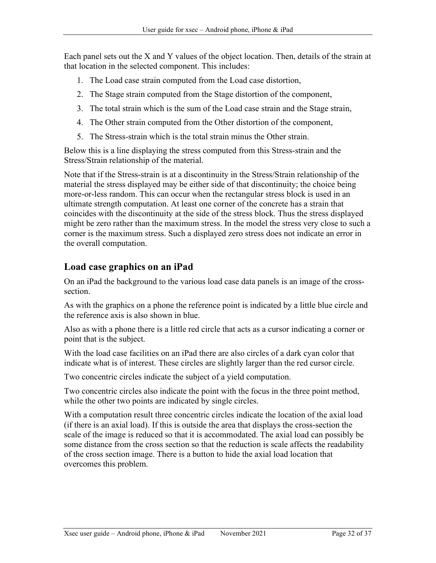Each panel sets out the X and Y values of the object location. Then, details of the strain at that location in the selected component. This includes:

- 1. The Load case strain computed from the Load case distortion,
- 2. The Stage strain computed from the Stage distortion of the component,
- 3. The total strain which is the sum of the Load case strain and the Stage strain,
- 4. The Other strain computed from the Other distortion of the component,
- 5. The Stress-strain which is the total strain minus the Other strain.

Below this is a line displaying the stress computed from this Stress-strain and the Stress/Strain relationship of the material.

Note that if the Stress-strain is at a discontinuity in the Stress/Strain relationship of the material the stress displayed may be either side of that discontinuity; the choice being more-or-less random. This can occur when the rectangular stress block is used in an ultimate strength computation. At least one corner of the concrete has a strain that coincides with the discontinuity at the side of the stress block. Thus the stress displayed might be zero rather than the maximum stress. In the model the stress very close to such a corner is the maximum stress. Such a displayed zero stress does not indicate an error in the overall computation.

## Load case graphics on an iPad

On an iPad the background to the various load case data panels is an image of the crosssection.

As with the graphics on a phone the reference point is indicated by a little blue circle and the reference axis is also shown in blue.

Also as with a phone there is a little red circle that acts as a cursor indicating a corner or point that is the subject.

With the load case facilities on an iPad there are also circles of a dark cyan color that indicate what is of interest. These circles are slightly larger than the red cursor circle.

Two concentric circles indicate the subject of a yield computation.

Two concentric circles also indicate the point with the focus in the three point method, while the other two points are indicated by single circles.

With a computation result three concentric circles indicate the location of the axial load (if there is an axial load). If this is outside the area that displays the cross-section the scale of the image is reduced so that it is accommodated. The axial load can possibly be some distance from the cross section so that the reduction is scale affects the readability of the cross section image. There is a button to hide the axial load location that overcomes this problem.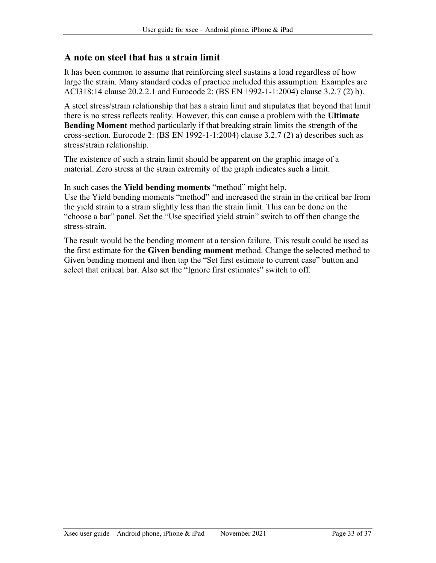### A note on steel that has a strain limit

It has been common to assume that reinforcing steel sustains a load regardless of how large the strain. Many standard codes of practice included this assumption. Examples are ACI318:14 clause 20.2.2.1 and Eurocode 2: (BS EN 1992-1-1:2004) clause 3.2.7 (2) b).

A steel stress/strain relationship that has a strain limit and stipulates that beyond that limit there is no stress reflects reality. However, this can cause a problem with the Ultimate Bending Moment method particularly if that breaking strain limits the strength of the cross-section. Eurocode 2: (BS EN 1992-1-1:2004) clause 3.2.7 (2) a) describes such as stress/strain relationship.

The existence of such a strain limit should be apparent on the graphic image of a material. Zero stress at the strain extremity of the graph indicates such a limit.

In such cases the Yield bending moments "method" might help.

Use the Yield bending moments "method" and increased the strain in the critical bar from the yield strain to a strain slightly less than the strain limit. This can be done on the "choose a bar" panel. Set the "Use specified yield strain" switch to off then change the stress-strain.

The result would be the bending moment at a tension failure. This result could be used as the first estimate for the Given bending moment method. Change the selected method to Given bending moment and then tap the "Set first estimate to current case" button and select that critical bar. Also set the "Ignore first estimates" switch to off.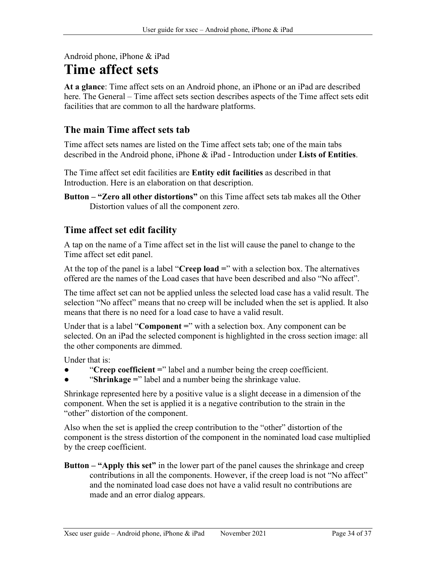## Android phone, iPhone & iPad

# Time affect sets

At a glance: Time affect sets on an Android phone, an iPhone or an iPad are described here. The General – Time affect sets section describes aspects of the Time affect sets edit facilities that are common to all the hardware platforms.

# The main Time affect sets tab

Time affect sets names are listed on the Time affect sets tab; one of the main tabs described in the Android phone, iPhone & iPad - Introduction under Lists of Entities.

The Time affect set edit facilities are Entity edit facilities as described in that Introduction. Here is an elaboration on that description.

Button – "Zero all other distortions" on this Time affect sets tab makes all the Other Distortion values of all the component zero.

# Time affect set edit facility

A tap on the name of a Time affect set in the list will cause the panel to change to the Time affect set edit panel.

At the top of the panel is a label "Creep load  $=$ " with a selection box. The alternatives offered are the names of the Load cases that have been described and also "No affect".

The time affect set can not be applied unless the selected load case has a valid result. The selection "No affect" means that no creep will be included when the set is applied. It also means that there is no need for a load case to have a valid result.

Under that is a label "**Component**  $=$ " with a selection box. Any component can be selected. On an iPad the selected component is highlighted in the cross section image: all the other components are dimmed.

Under that is:

- "Creep coefficient  $=$ " label and a number being the creep coefficient.
- "Shrinkage  $=$ " label and a number being the shrinkage value.

Shrinkage represented here by a positive value is a slight decease in a dimension of the component. When the set is applied it is a negative contribution to the strain in the "other" distortion of the component.

Also when the set is applied the creep contribution to the "other" distortion of the component is the stress distortion of the component in the nominated load case multiplied by the creep coefficient.

Button – "Apply this set" in the lower part of the panel causes the shrinkage and creep contributions in all the components. However, if the creep load is not "No affect" and the nominated load case does not have a valid result no contributions are made and an error dialog appears.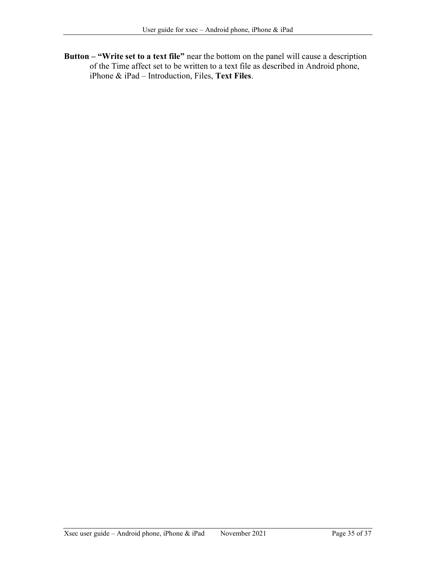Button – "Write set to a text file" near the bottom on the panel will cause a description of the Time affect set to be written to a text file as described in Android phone, iPhone & iPad – Introduction, Files, Text Files.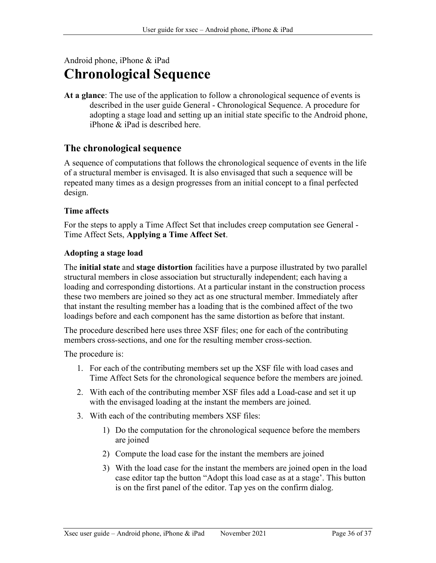# Android phone, iPhone & iPad Chronological Sequence

At a glance: The use of the application to follow a chronological sequence of events is described in the user guide General - Chronological Sequence. A procedure for adopting a stage load and setting up an initial state specific to the Android phone, iPhone & iPad is described here.

## The chronological sequence

A sequence of computations that follows the chronological sequence of events in the life of a structural member is envisaged. It is also envisaged that such a sequence will be repeated many times as a design progresses from an initial concept to a final perfected design.

### Time affects

For the steps to apply a Time Affect Set that includes creep computation see General - Time Affect Sets, Applying a Time Affect Set.

### Adopting a stage load

The **initial state** and **stage distortion** facilities have a purpose illustrated by two parallel structural members in close association but structurally independent; each having a loading and corresponding distortions. At a particular instant in the construction process these two members are joined so they act as one structural member. Immediately after that instant the resulting member has a loading that is the combined affect of the two loadings before and each component has the same distortion as before that instant.

The procedure described here uses three XSF files; one for each of the contributing members cross-sections, and one for the resulting member cross-section.

The procedure is:

- 1. For each of the contributing members set up the XSF file with load cases and Time Affect Sets for the chronological sequence before the members are joined.
- 2. With each of the contributing member XSF files add a Load-case and set it up with the envisaged loading at the instant the members are joined.
- 3. With each of the contributing members XSF files:
	- 1) Do the computation for the chronological sequence before the members are joined
	- 2) Compute the load case for the instant the members are joined
	- 3) With the load case for the instant the members are joined open in the load case editor tap the button "Adopt this load case as at a stage'. This button is on the first panel of the editor. Tap yes on the confirm dialog.